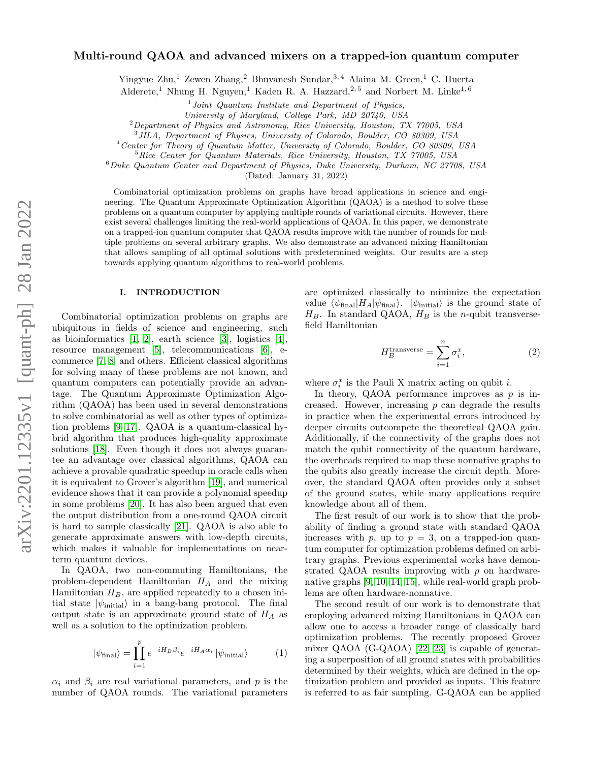# Multi-round QAOA and advanced mixers on a trapped-ion quantum computer

Yingyue Zhu,<sup>1</sup> Zewen Zhang,<sup>2</sup> Bhuvanesh Sundar,<sup>3,4</sup> Alaina M. Green,<sup>1</sup> C. Huerta

Alderete,<sup>1</sup> Nhung H. Nguyen,<sup>1</sup> Kaden R. A. Hazzard,<sup>2,5</sup> and Norbert M. Linke<sup>1,6</sup>

 $1$  Joint Quantum Institute and Department of Physics,

University of Maryland, College Park, MD 20740, USA

<sup>2</sup>Department of Physics and Astronomy, Rice University, Houston, TX 77005, USA

3 JILA, Department of Physics, University of Colorado, Boulder, CO 80309, USA

<sup>4</sup>Center for Theory of Quantum Matter, University of Colorado, Boulder, CO 80309, USA

 ${}^{5}Rice$  Center for Quantum Materials, Rice University, Houston, TX 77005, USA

 $6$ Duke Quantum Center and Department of Physics, Duke University, Durham, NC 27708, USA

(Dated: January 31, 2022)

Combinatorial optimization problems on graphs have broad applications in science and engineering. The Quantum Approximate Optimization Algorithm (QAOA) is a method to solve these problems on a quantum computer by applying multiple rounds of variational circuits. However, there exist several challenges limiting the real-world applications of QAOA. In this paper, we demonstrate on a trapped-ion quantum computer that QAOA results improve with the number of rounds for multiple problems on several arbitrary graphs. We also demonstrate an advanced mixing Hamiltonian that allows sampling of all optimal solutions with predetermined weights. Our results are a step towards applying quantum algorithms to real-world problems.

#### I. INTRODUCTION

Combinatorial optimization problems on graphs are ubiquitous in fields of science and engineering, such as bioinformatics [\[1,](#page-6-0) [2\]](#page-6-1), earth science [\[3\]](#page-6-2), logistics [\[4\]](#page-6-3), resource management [\[5\]](#page-6-4), telecommunications [\[6\]](#page-6-5), ecommerce [\[7,](#page-6-6) [8\]](#page-6-7) and others. Efficient classical algorithms for solving many of these problems are not known, and quantum computers can potentially provide an advantage. The Quantum Approximate Optimization Algorithm (QAOA) has been used in several demonstrations to solve combinatorial as well as other types of optimization problems [\[9–](#page-6-8)[17\]](#page-7-0). QAOA is a quantum-classical hybrid algorithm that produces high-quality approximate solutions [\[18\]](#page-7-1). Even though it does not always guarantee an advantage over classical algorithms, QAOA can achieve a provable quadratic speedup in oracle calls when it is equivalent to Grover's algorithm [\[19\]](#page-7-2), and numerical evidence shows that it can provide a polynomial speedup in some problems [\[20\]](#page-7-3). It has also been argued that even the output distribution from a one-round QAOA circuit is hard to sample classically [\[21\]](#page-7-4). QAOA is also able to generate approximate answers with low-depth circuits, which makes it valuable for implementations on nearterm quantum devices.

In QAOA, two non-commuting Hamiltonians, the problem-dependent Hamiltonian  $H_A$  and the mixing Hamiltonian  $H_B$ , are applied repeatedly to a chosen initial state  $|\psi_{initial}\rangle$  in a bang-bang protocol. The final output state is an approximate ground state of  $H_A$  as well as a solution to the optimization problem.

$$
|\psi_{\text{final}}\rangle = \prod_{i=1}^{p} e^{-iH_B\beta_i} e^{-iH_A\alpha_i} |\psi_{\text{initial}}\rangle \tag{1}
$$

 $\alpha_i$  and  $\beta_i$  are real variational parameters, and p is the number of QAOA rounds. The variational parameters are optimized classically to minimize the expectation value  $\langle \psi_{\text{final}}|H_A|\psi_{\text{final}}\rangle$ .  $|\psi_{\text{initial}}\rangle$  is the ground state of  $H_B$ . In standard QAOA,  $H_B$  is the *n*-qubit transversefield Hamiltonian

<span id="page-0-0"></span>
$$
H_B^{\text{transverse}} = \sum_{i=1}^n \sigma_i^x,\tag{2}
$$

where  $\sigma_i^x$  is the Pauli X matrix acting on qubit *i*.

In theory, QAOA performance improves as  $p$  is increased. However, increasing p can degrade the results in practice when the experimental errors introduced by deeper circuits outcompete the theoretical QAOA gain. Additionally, if the connectivity of the graphs does not match the qubit connectivity of the quantum hardware, the overheads required to map these nonnative graphs to the qubits also greatly increase the circuit depth. Moreover, the standard QAOA often provides only a subset of the ground states, while many applications require knowledge about all of them.

The first result of our work is to show that the probability of finding a ground state with standard QAOA increases with p, up to  $p = 3$ , on a trapped-ion quantum computer for optimization problems defined on arbitrary graphs. Previous experimental works have demonstrated QAOA results improving with  $p$  on hardwarenative graphs [\[9,](#page-6-8) [10,](#page-6-9) [14,](#page-7-5) [15\]](#page-7-6), while real-world graph problems are often hardware-nonnative.

The second result of our work is to demonstrate that employing advanced mixing Hamiltonians in QAOA can allow one to access a broader range of classically hard optimization problems. The recently proposed Grover mixer QAOA (G-QAOA) [\[22,](#page-7-7) [23\]](#page-7-8) is capable of generating a superposition of all ground states with probabilities determined by their weights, which are defined in the optimization problem and provided as inputs. This feature is referred to as fair sampling. G-QAOA can be applied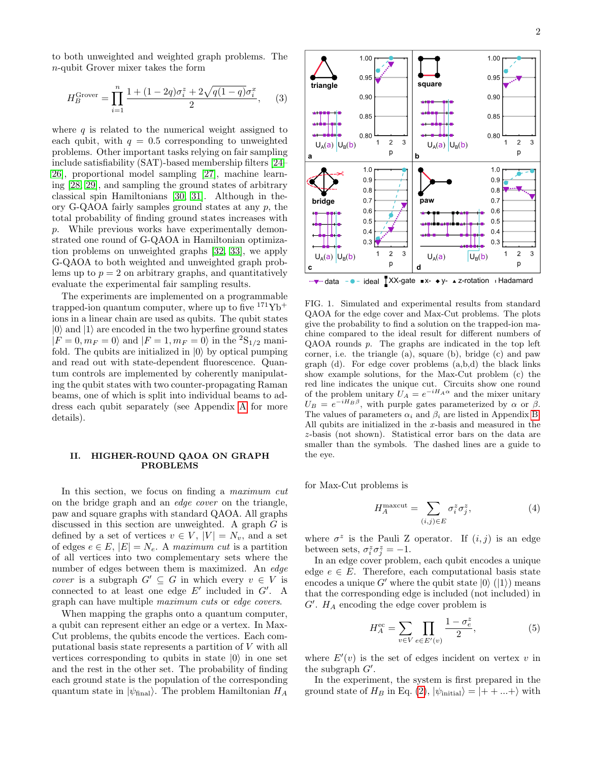to both unweighted and weighted graph problems. The n-qubit Grover mixer takes the form

<span id="page-1-1"></span>
$$
H_B^{\text{Grover}} = \prod_{i=1}^n \frac{1 + (1 - 2q)\sigma_i^z + 2\sqrt{q(1 - q)}\sigma_i^x}{2}, \quad (3)
$$

where  $q$  is related to the numerical weight assigned to each qubit, with  $q = 0.5$  corresponding to unweighted problems. Other important tasks relying on fair sampling include satisfiability (SAT)-based membership filters [\[24–](#page-7-9) [26\]](#page-7-10), proportional model sampling [\[27\]](#page-7-11), machine learning [\[28,](#page-7-12) [29\]](#page-7-13), and sampling the ground states of arbitrary classical spin Hamiltonians [\[30,](#page-7-14) [31\]](#page-7-15). Although in theory G-QAOA fairly samples ground states at any  $p$ , the total probability of finding ground states increases with p. While previous works have experimentally demonstrated one round of G-QAOA in Hamiltonian optimization problems on unweighted graphs [\[32,](#page-7-16) [33\]](#page-7-17), we apply G-QAOA to both weighted and unweighted graph problems up to  $p = 2$  on arbitrary graphs, and quantitatively evaluate the experimental fair sampling results.

The experiments are implemented on a programmable trapped-ion quantum computer, where up to five  $171\text{Yb}^+$ ions in a linear chain are used as qubits. The qubit states  $|0\rangle$  and  $|1\rangle$  are encoded in the two hyperfine ground states  $|F = 0, m_F = 0\rangle$  and  $|F = 1, m_F = 0\rangle$  in the  ${}^{2}S_{1/2}$  manifold. The qubits are initialized in  $|0\rangle$  by optical pumping and read out with state-dependent fluorescence. Quantum controls are implemented by coherently manipulating the qubit states with two counter-propagating Raman beams, one of which is split into individual beams to address each qubit separately (see Appendix [A](#page-5-0) for more details).

## <span id="page-1-2"></span>II. HIGHER-ROUND QAOA ON GRAPH PROBLEMS

In this section, we focus on finding a *maximum cut* on the bridge graph and an edge cover on the triangle, paw and square graphs with standard QAOA. All graphs discussed in this section are unweighted. A graph G is defined by a set of vertices  $v \in V$ ,  $|V| = N_v$ , and a set of edges  $e \in E$ ,  $|E| = N_e$ . A maximum cut is a partition of all vertices into two complementary sets where the number of edges between them is maximized. An edge *cover* is a subgraph  $G' \subseteq G$  in which every  $v \in V$  is connected to at least one edge  $E'$  included in  $G'$ . A graph can have multiple maximum cuts or edge covers.

When mapping the graphs onto a quantum computer, a qubit can represent either an edge or a vertex. In Max-Cut problems, the qubits encode the vertices. Each computational basis state represents a partition of V with all vertices corresponding to qubits in state  $|0\rangle$  in one set and the rest in the other set. The probability of finding each ground state is the population of the corresponding quantum state in  $|\psi_{\text{final}}\rangle$ . The problem Hamiltonian  $H_A$ 



<span id="page-1-0"></span>FIG. 1. Simulated and experimental results from standard QAOA for the edge cover and Max-Cut problems. The plots give the probability to find a solution on the trapped-ion machine compared to the ideal result for different numbers of QAOA rounds p. The graphs are indicated in the top left corner, i.e. the triangle (a), square (b), bridge (c) and paw graph (d). For edge cover problems (a,b,d) the black links show example solutions, for the Max-Cut problem (c) the red line indicates the unique cut. Circuits show one round of the problem unitary  $U_A = e^{-iH_A\alpha}$  and the mixer unitary  $U_B = e^{-iH_B\beta}$ , with purple gates parameterized by  $\alpha$  or  $\beta$ . The values of parameters  $\alpha_i$  and  $\beta_i$  are listed in Appendix [B.](#page-5-1) All qubits are initialized in the x-basis and measured in the z-basis (not shown). Statistical error bars on the data are smaller than the symbols. The dashed lines are a guide to the eye.

for Max-Cut problems is

$$
H_A^{\text{maxcut}} = \sum_{(i,j) \in E} \sigma_i^z \sigma_j^z,\tag{4}
$$

where  $\sigma^z$  is the Pauli Z operator. If  $(i, j)$  is an edge between sets,  $\sigma_i^z \sigma_j^z = -1$ .

In an edge cover problem, each qubit encodes a unique edge  $e \in E$ . Therefore, each computational basis state encodes a unique G' where the qubit state  $|0\rangle$  ( $|1\rangle$ ) means that the corresponding edge is included (not included) in  $G'$ .  $H_A$  encoding the edge cover problem is

<span id="page-1-3"></span>
$$
H_A^{\text{ec}} = \sum_{v \in V} \prod_{e \in E'(v)} \frac{1 - \sigma_e^z}{2},\tag{5}
$$

where  $E'(v)$  is the set of edges incident on vertex v in the subgraph  $G'$ .

In the experiment, the system is first prepared in the ground state of  $H_B$  in Eq. [\(2\)](#page-0-0),  $|\psi_{initial}\rangle = |++...+\rangle$  with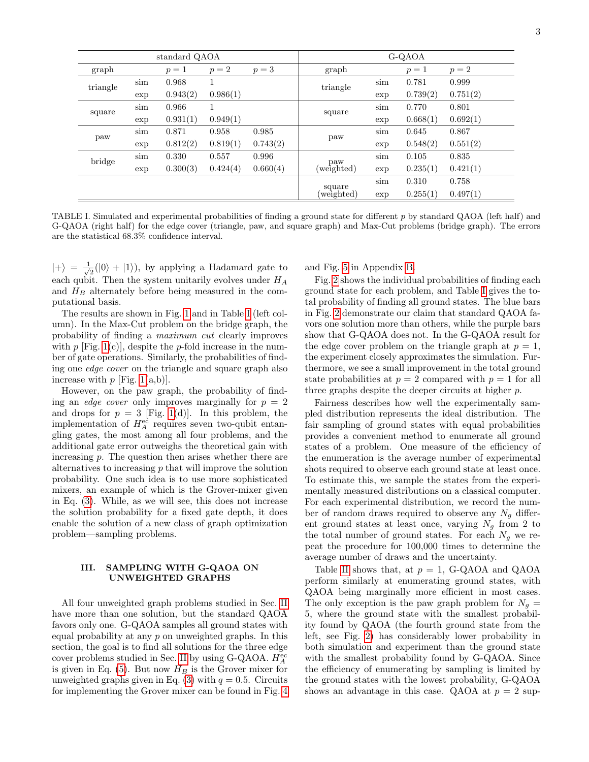| standard QAOA |     |          |          | G-QAOA   |                   |     |          |          |
|---------------|-----|----------|----------|----------|-------------------|-----|----------|----------|
| graph         |     | $p=1$    | $p=2$    | $p=3$    | graph             |     | $p=1$    | $p=2$    |
| triangle      | sim | 0.968    |          |          | triangle          | sim | 0.781    | 0.999    |
|               | exp | 0.943(2) | 0.986(1) |          |                   | exp | 0.739(2) | 0.751(2) |
| square        | sim | 0.966    |          |          | square            | sim | 0.770    | 0.801    |
|               | exp | 0.931(1) | 0.949(1) |          |                   | exp | 0.668(1) | 0.692(1) |
| paw           | sim | 0.871    | 0.958    | 0.985    | paw               | sim | 0.645    | 0.867    |
|               | exp | 0.812(2) | 0.819(1) | 0.743(2) |                   | exp | 0.548(2) | 0.551(2) |
| bridge        | sim | 0.330    | 0.557    | 0.996    |                   | sim | 0.105    | 0.835    |
|               | exp | 0.300(3) | 0.424(4) | 0.660(4) | paw<br>(weighted) | exp | 0.235(1) | 0.421(1) |
|               |     |          |          |          | square            | sim | 0.310    | 0.758    |
|               |     |          |          |          | weighted)         | exp | 0.255(1) | 0.497(1) |

<span id="page-2-0"></span>TABLE I. Simulated and experimental probabilities of finding a ground state for different  $p$  by standard QAOA (left half) and G-QAOA (right half) for the edge cover (triangle, paw, and square graph) and Max-Cut problems (bridge graph). The errors are the statistical 68.3% confidence interval.

 $|+\rangle = \frac{1}{4}$  $\overline{\overline{2}}(|0\rangle + |1\rangle)$ , by applying a Hadamard gate to each qubit. Then the system unitarily evolves under  $H_A$ and  $H_B$  alternately before being measured in the computational basis.

The results are shown in Fig. [1](#page-1-0) and in Table [I](#page-2-0) (left column). In the Max-Cut problem on the bridge graph, the probability of finding a maximum cut clearly improves with  $p$  [Fig. [1\(](#page-1-0)c)], despite the  $p$ -fold increase in the number of gate operations. Similarly, the probabilities of finding one edge cover on the triangle and square graph also increase with  $p$  [Fig. [1\(](#page-1-0)a,b)].

However, on the paw graph, the probability of finding an *edge cover* only improves marginally for  $p = 2$ and drops for  $p = 3$  [Fig. [1\(](#page-1-0)d)]. In this problem, the implementation of  $H_A^{\text{ec}}$  requires seven two-qubit entangling gates, the most among all four problems, and the additional gate error outweighs the theoretical gain with increasing p. The question then arises whether there are alternatives to increasing  $p$  that will improve the solution probability. One such idea is to use more sophisticated mixers, an example of which is the Grover-mixer given in Eq. [\(3\)](#page-1-1). While, as we will see, this does not increase the solution probability for a fixed gate depth, it does enable the solution of a new class of graph optimization problem—sampling problems.

## III. SAMPLING WITH G-QAOA ON UNWEIGHTED GRAPHS

All four unweighted graph problems studied in Sec. [II](#page-1-2) have more than one solution, but the standard QAOA favors only one. G-QAOA samples all ground states with equal probability at any  $p$  on unweighted graphs. In this section, the goal is to find all solutions for the three edge cover problems studied in Sec. [II](#page-1-2) by using G-QAOA.  $H_A^{\rm ec}$ is given in Eq.  $(5)$ . But now  $H_B$  is the Grover mixer for unweighted graphs given in Eq. [\(3\)](#page-1-1) with  $q = 0.5$ . Circuits for implementing the Grover mixer can be found in Fig. [4](#page-5-2)

and Fig. [5](#page-5-3) in Appendix [B.](#page-5-1)

Fig. [2](#page-4-0) shows the individual probabilities of finding each ground state for each problem, and Table [I](#page-2-0) gives the total probability of finding all ground states. The blue bars in Fig. [2](#page-4-0) demonstrate our claim that standard QAOA favors one solution more than others, while the purple bars show that G-QAOA does not. In the G-QAOA result for the edge cover problem on the triangle graph at  $p = 1$ , the experiment closely approximates the simulation. Furthermore, we see a small improvement in the total ground state probabilities at  $p = 2$  compared with  $p = 1$  for all three graphs despite the deeper circuits at higher  $p$ .

Fairness describes how well the experimentally sampled distribution represents the ideal distribution. The fair sampling of ground states with equal probabilities provides a convenient method to enumerate all ground states of a problem. One measure of the efficiency of the enumeration is the average number of experimental shots required to observe each ground state at least once. To estimate this, we sample the states from the experimentally measured distributions on a classical computer. For each experimental distribution, we record the number of random draws required to observe any  $N_q$  different ground states at least once, varying  $N_g$  from 2 to the total number of ground states. For each  $N_q$  we repeat the procedure for 100,000 times to determine the average number of draws and the uncertainty.

Table [II](#page-3-0) shows that, at  $p = 1$ , G-QAOA and QAOA perform similarly at enumerating ground states, with QAOA being marginally more efficient in most cases. The only exception is the paw graph problem for  $N_g =$ 5, where the ground state with the smallest probability found by QAOA (the fourth ground state from the left, see Fig. [2\)](#page-4-0) has considerably lower probability in both simulation and experiment than the ground state with the smallest probability found by G-QAOA. Since the efficiency of enumerating by sampling is limited by the ground states with the lowest probability, G-QAOA shows an advantage in this case. QAOA at  $p = 2$  sup-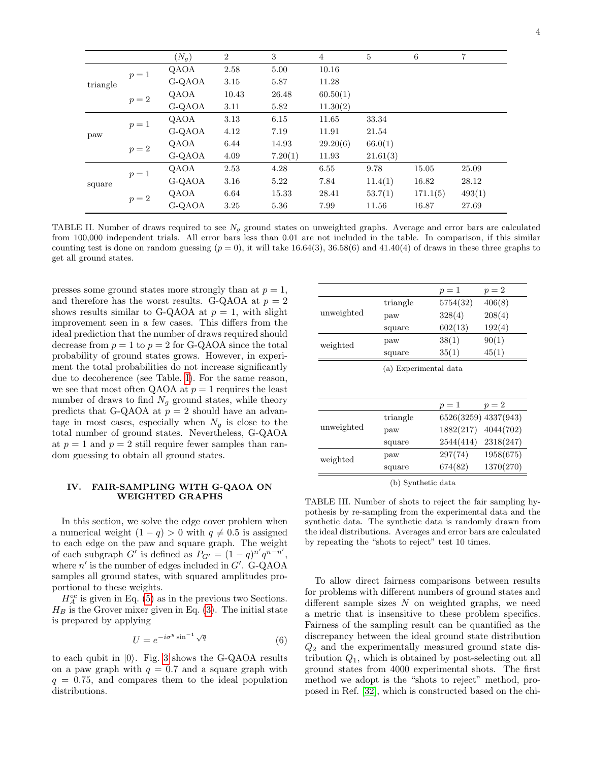|          |       | $(N_g)$ | $\overline{2}$ | 3       | $\overline{4}$ | $\overline{5}$ | 6        | $\overline{7}$ |
|----------|-------|---------|----------------|---------|----------------|----------------|----------|----------------|
| triangle | $p=1$ | QAOA    | 2.58           | 5.00    | 10.16          |                |          |                |
|          |       | G-QAOA  | 3.15           | 5.87    | 11.28          |                |          |                |
|          | $p=2$ | QAOA    | 10.43          | 26.48   | 60.50(1)       |                |          |                |
|          |       | G-QAOA  | 3.11           | 5.82    | 11.30(2)       |                |          |                |
|          | $p=1$ | QAOA    | 3.13           | 6.15    | 11.65          | 33.34          |          |                |
| paw      |       | G-QAOA  | 4.12           | 7.19    | 11.91          | 21.54          |          |                |
|          |       | QAOA    | 6.44           | 14.93   | 29.20(6)       | 66.0(1)        |          |                |
|          | $p=2$ | G-QAOA  | 4.09           | 7.20(1) | 11.93          | 21.61(3)       |          |                |
|          | $p=1$ | QAOA    | 2.53           | 4.28    | 6.55           | 9.78           | 15.05    | 25.09          |
| square   |       | G-QAOA  | 3.16           | 5.22    | 7.84           | 11.4(1)        | 16.82    | 28.12          |
|          | $p=2$ | QAOA    | 6.64           | 15.33   | 28.41          | 53.7(1)        | 171.1(5) | 493(1)         |
|          |       | G-QAOA  | 3.25           | 5.36    | 7.99           | 11.56          | 16.87    | 27.69          |

<span id="page-3-0"></span>TABLE II. Number of draws required to see  $N_g$  ground states on unweighted graphs. Average and error bars are calculated from 100,000 independent trials. All error bars less than 0.01 are not included in the table. In comparison, if this similar counting test is done on random guessing  $(p = 0)$ , it will take 16.64(3), 36.58(6) and 41.40(4) of draws in these three graphs to get all ground states.

presses some ground states more strongly than at  $p = 1$ , and therefore has the worst results. G-QAOA at  $p = 2$ shows results similar to G-QAOA at  $p = 1$ , with slight improvement seen in a few cases. This differs from the ideal prediction that the number of draws required should decrease from  $p = 1$  to  $p = 2$  for G-QAOA since the total probability of ground states grows. However, in experiment the total probabilities do not increase significantly due to decoherence (see Table. [I\)](#page-2-0). For the same reason, we see that most often QAOA at  $p = 1$  requires the least number of draws to find  $N_g$  ground states, while theory predicts that G-QAOA at  $p = 2$  should have an advantage in most cases, especially when  $N_q$  is close to the total number of ground states. Nevertheless, G-QAOA at  $p = 1$  and  $p = 2$  still require fewer samples than random guessing to obtain all ground states.

## IV. FAIR-SAMPLING WITH G-QAOA ON WEIGHTED GRAPHS

In this section, we solve the edge cover problem when a numerical weight  $(1 - q) > 0$  with  $q \neq 0.5$  is assigned to each edge on the paw and square graph. The weight of each subgraph G' is defined as  $P_{G'} = (1 - q)^{n'} q^{n - n'}$ , where  $n'$  is the number of edges included in  $G'$ . G-QAOA samples all ground states, with squared amplitudes proportional to these weights.

 $H_A^{\text{ec}}$  is given in Eq. [\(5\)](#page-1-3) as in the previous two Sections.  $H_B$  is the Grover mixer given in Eq. [\(3\)](#page-1-1). The initial state is prepared by applying

$$
U = e^{-i\sigma^y \sin^{-1} \sqrt{q}} \tag{6}
$$

to each qubit in  $|0\rangle$ . Fig. [3](#page-4-1) shows the G-QAOA results on a paw graph with  $q = 0.7$  and a square graph with  $q = 0.75$ , and compares them to the ideal population distributions.

|            |          | $p=1$    | $p=2$  |
|------------|----------|----------|--------|
|            | triangle | 5754(32) | 406(8) |
| unweighted | paw      | 328(4)   | 208(4) |
|            | square   | 602(13)  | 192(4) |
| weighted   | paw      | 38(1)    | 90(1)  |
|            | square   | 35(1)    | 45(1)  |
|            |          |          |        |

(a) Experimental data

|            |          | $p=1$     | $p=2$                |
|------------|----------|-----------|----------------------|
|            | triangle |           | 6526(3259) 4337(943) |
| unweighted | paw      |           | 1882(217) 4044(702)  |
|            | square   | 2544(414) | 2318(247)            |
| weighted   | paw      | 297(74)   | 1958(675)            |
|            | square   | 674(82)   | 1370(270)            |

<span id="page-3-1"></span>(b) Synthetic data

TABLE III. Number of shots to reject the fair sampling hypothesis by re-sampling from the experimental data and the synthetic data. The synthetic data is randomly drawn from the ideal distributions. Averages and error bars are calculated by repeating the "shots to reject" test 10 times.

To allow direct fairness comparisons between results for problems with different numbers of ground states and different sample sizes  $N$  on weighted graphs, we need a metric that is insensitive to these problem specifics. Fairness of the sampling result can be quantified as the discrepancy between the ideal ground state distribution  $Q_2$  and the experimentally measured ground state distribution  $Q_1$ , which is obtained by post-selecting out all ground states from 4000 experimental shots. The first method we adopt is the "shots to reject" method, proposed in Ref. [\[32\]](#page-7-16), which is constructed based on the chi-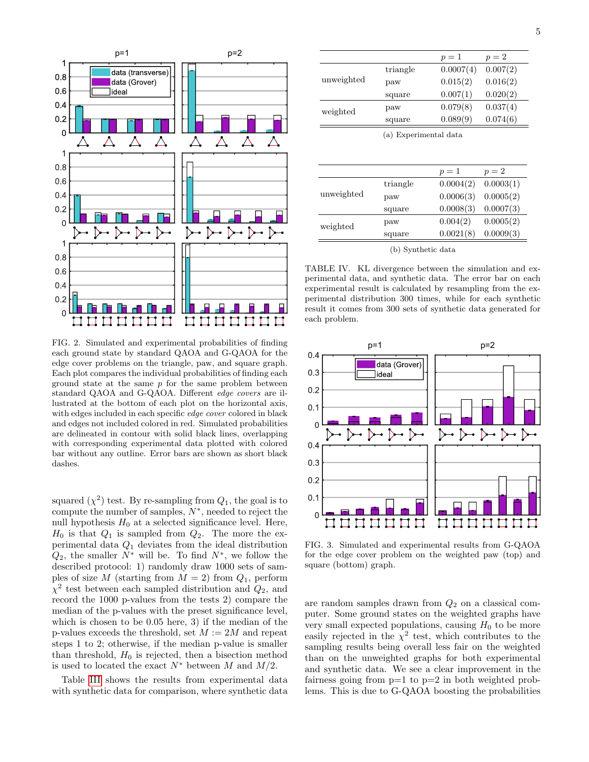

<span id="page-4-0"></span>FIG. 2. Simulated and experimental probabilities of finding each ground state by standard QAOA and G-QAOA for the edge cover problems on the triangle, paw, and square graph. Each plot compares the individual probabilities of finding each ground state at the same  $p$  for the same problem between standard QAOA and G-QAOA. Different edge covers are illustrated at the bottom of each plot on the horizontal axis, with edges included in each specific edge cover colored in black and edges not included colored in red. Simulated probabilities are delineated in contour with solid black lines, overlapping with corresponding experimental data plotted with colored bar without any outline. Error bars are shown as short black dashes.

squared  $(\chi^2)$  test. By re-sampling from  $Q_1$ , the goal is to compute the number of samples,  $N^*$ , needed to reject the null hypothesis  $H_0$  at a selected significance level. Here,  $H_0$  is that  $Q_1$  is sampled from  $Q_2$ . The more the experimental data  $Q_1$  deviates from the ideal distribution  $Q_2$ , the smaller  $N^*$  will be. To find  $N^*$ , we follow the described protocol: 1) randomly draw 1000 sets of samples of size M (starting from  $M = 2$ ) from  $Q_1$ , perform  $\chi^2$  test between each sampled distribution and  $Q_2$ , and record the 1000 p-values from the tests 2) compare the median of the p-values with the preset significance level, which is chosen to be 0.05 here, 3) if the median of the p-values exceeds the threshold, set  $M := 2M$  and repeat steps 1 to 2; otherwise, if the median p-value is smaller than threshold,  $H_0$  is rejected, then a bisection method is used to located the exact  $N^*$  between M and  $M/2$ .

Table [III](#page-3-1) shows the results from experimental data with synthetic data for comparison, where synthetic data

|            | triangle              | $p=1$<br>0.0007(4) | 0.007(2)               |
|------------|-----------------------|--------------------|------------------------|
| unweighted | paw                   | 0.015(2)           | 0.016(2)               |
|            | square                | 0.007(1)           | 0.020(2)               |
|            | paw                   | 0.079(8)           | 0.037(4)               |
| weighted   | square                | 0.089(9)           | 0.074(6)               |
|            | (a) Experimental data |                    |                        |
|            |                       |                    |                        |
|            |                       |                    |                        |
|            |                       |                    |                        |
|            |                       | $p=1$              | $p=2$                  |
|            | triangle              | 0.0004(2)          |                        |
|            | paw                   | 0.0006(3)          | 0.0003(1)<br>0.0005(2) |
|            | square                | 0.0008(3)          | 0.0007(3)              |
| unweighted | paw                   | 0.004(2)           |                        |
| weighted   | square                | 0.0021(8)          | 0.0005(2)<br>0.0009(3) |

<span id="page-4-2"></span>perimental data, and synthetic data. The error bar on each experimental result is calculated by resampling from the experimental distribution 300 times, while for each synthetic result it comes from 300 sets of synthetic data generated for each problem.



<span id="page-4-1"></span>FIG. 3. Simulated and experimental results from G-QAOA for the edge cover problem on the weighted paw (top) and square (bottom) graph.

are random samples drawn from  $Q_2$  on a classical computer. Some ground states on the weighted graphs have very small expected populations, causing  $H_0$  to be more easily rejected in the  $\chi^2$  test, which contributes to the sampling results being overall less fair on the weighted than on the unweighted graphs for both experimental and synthetic data. We see a clear improvement in the fairness going from  $p=1$  to  $p=2$  in both weighted problems. This is due to G-QAOA boosting the probabilities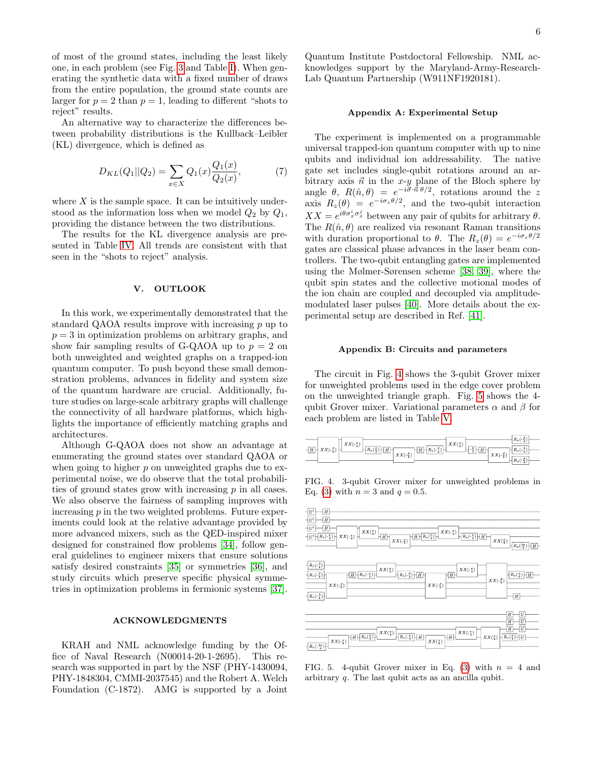of most of the ground states, including the least likely one, in each problem (see Fig. [3](#page-4-1) and Table [I\)](#page-2-0). When generating the synthetic data with a fixed number of draws from the entire population, the ground state counts are larger for  $p = 2$  than  $p = 1$ , leading to different "shots to reject" results.

An alternative way to characterize the differences between probability distributions is the Kullback–Leibler (KL) divergence, which is defined as

$$
D_{KL}(Q_1||Q_2) = \sum_{x \in X} Q_1(x) \frac{Q_1(x)}{Q_2(x)},\tag{7}
$$

where  $X$  is the sample space. It can be intuitively understood as the information loss when we model  $Q_2$  by  $Q_1$ , providing the distance between the two distributions.

The results for the KL divergence analysis are presented in Table [IV.](#page-4-2) All trends are consistent with that seen in the "shots to reject" analysis.

#### V. OUTLOOK

In this work, we experimentally demonstrated that the standard QAOA results improve with increasing p up to  $p = 3$  in optimization problems on arbitrary graphs, and show fair sampling results of G-QAOA up to  $p = 2$  on both unweighted and weighted graphs on a trapped-ion quantum computer. To push beyond these small demonstration problems, advances in fidelity and system size of the quantum hardware are crucial. Additionally, future studies on large-scale arbitrary graphs will challenge the connectivity of all hardware platforms, which highlights the importance of efficiently matching graphs and architectures.

Although G-QAOA does not show an advantage at enumerating the ground states over standard QAOA or when going to higher  $p$  on unweighted graphs due to experimental noise, we do observe that the total probabilities of ground states grow with increasing p in all cases. We also observe the fairness of sampling improves with increasing  $p$  in the two weighted problems. Future experiments could look at the relative advantage provided by more advanced mixers, such as the QED-inspired mixer designed for constrained flow problems [\[34\]](#page-7-18), follow general guidelines to engineer mixers that ensure solutions satisfy desired constraints [\[35\]](#page-7-19) or symmetries [\[36\]](#page-7-20), and study circuits which preserve specific physical symmetries in optimization problems in fermionic systems [\[37\]](#page-7-21).

## ACKNOWLEDGMENTS

KRAH and NML acknowledge funding by the Office of Naval Research (N00014-20-1-2695). This research was supported in part by the NSF (PHY-1430094, PHY-1848304, CMMI-2037545) and the Robert A. Welch Foundation (C-1872). AMG is supported by a Joint

Quantum Institute Postdoctoral Fellowship. NML acknowledges support by the Maryland-Army-Research-Lab Quantum Partnership (W911NF1920181).

#### <span id="page-5-0"></span>Appendix A: Experimental Setup

The experiment is implemented on a programmable universal trapped-ion quantum computer with up to nine qubits and individual ion addressability. The native gate set includes single-qubit rotations around an arbitrary axis  $\vec{n}$  in the x-y plane of the Bloch sphere by angle  $\theta$ ,  $R(\hat{n}, \theta) = e^{-i\vec{\sigma} \cdot \vec{n} \theta/2}$ , rotations around the z axis  $R_z(\theta) = e^{-i\sigma_z \theta/2}$ , and the two-qubit interaction  $XX = e^{i\theta \sigma_x^i \sigma_x^j}$  between any pair of qubits for arbitrary  $\theta$ . The  $R(\hat{n}, \theta)$  are realized via resonant Raman transitions with duration proportional to  $\theta$ . The  $R_z(\theta) = e^{-i\sigma_z \theta/2}$ gates are classical phase advances in the laser beam controllers. The two-qubit entangling gates are implemented using the Mølmer-Sørensen scheme [\[38,](#page-7-22) [39\]](#page-7-23), where the qubit spin states and the collective motional modes of the ion chain are coupled and decoupled via amplitudemodulated laser pulses [\[40\]](#page-7-24). More details about the experimental setup are described in Ref. [\[41\]](#page-7-25).

#### <span id="page-5-1"></span>Appendix B: Circuits and parameters

The circuit in Fig. [4](#page-5-2) shows the 3-qubit Grover mixer for unweighted problems used in the edge cover problem on the unweighted triangle graph. Fig. [5](#page-5-3) shows the 4 qubit Grover mixer. Variational parameters  $\alpha$  and  $\beta$  for each problem are listed in Table [V.](#page-6-10)



<span id="page-5-2"></span>FIG. 4. 3-qubit Grover mixer for unweighted problems in Eq. [\(3\)](#page-1-1) with  $n = 3$  and  $q = 0.5$ .



<span id="page-5-3"></span>FIG. 5. 4-qubit Grover mixer in Eq. [\(3\)](#page-1-1) with  $n = 4$  and arbitrary q. The last qubit acts as an ancilla qubit.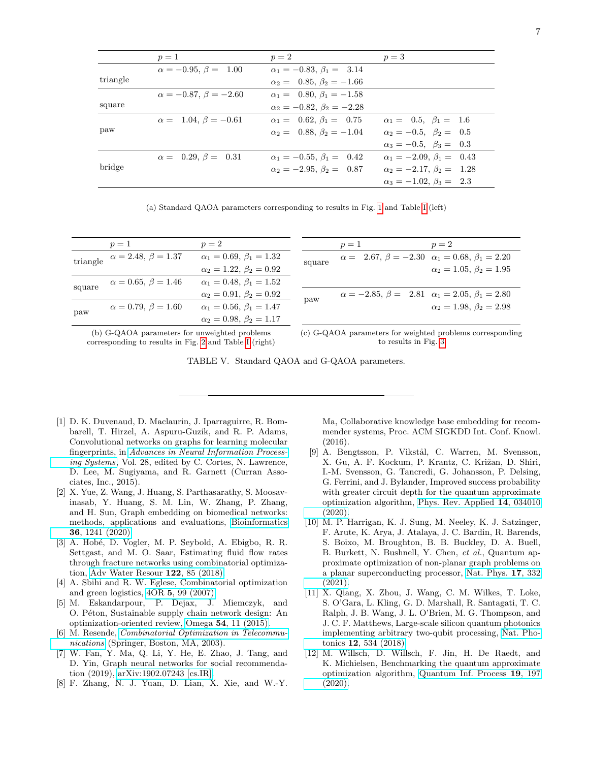|          | $p=1$                             | $p=2$                                | $p=3$                                |
|----------|-----------------------------------|--------------------------------------|--------------------------------------|
|          | $\alpha = -0.95, \beta = 1.00$    | $\alpha_1 = -0.83, \beta_1 = 3.14$   |                                      |
| triangle |                                   | $\alpha_2 = 0.85, \beta_2 = -1.66$   |                                      |
|          | $\alpha = -0.87, \ \beta = -2.60$ | $\alpha_1 = 0.80, \beta_1 = -1.58$   |                                      |
| square   |                                   | $\alpha_2 = -0.82, \beta_2 = -2.28$  |                                      |
|          | $\alpha = 1.04, \beta = -0.61$    | $\alpha_1 = 0.62, \beta_1 = 0.75$    | $\alpha_1 = 0.5, \ \beta_1 = 1.6$    |
| paw      |                                   | $\alpha_2 = 0.88, \beta_2 = -1.04$   | $\alpha_2 = -0.5, \ \beta_2 = \ 0.5$ |
|          |                                   |                                      | $\alpha_3 = -0.5, \ \beta_3 = \ 0.3$ |
|          | $\alpha = 0.29, \beta = 0.31$     | $\alpha_1 = -0.55, \beta_1 = 0.42$   | $\alpha_1 = -2.09, \beta_1 = 0.43$   |
| bridge   |                                   | $\alpha_2 = -2.95, \ \beta_2 = 0.87$ | $\alpha_2 = -2.17, \ \beta_2 = 1.28$ |
|          |                                   |                                      | $\alpha_3 = -1.02, \beta_3 = 2.3$    |

(a) Standard QAOA parameters corresponding to results in Fig. [1](#page-1-0) and Table [I](#page-2-0) (left)

|        | $p=1$                                  | $p=2$                             |        | $p=1$                                                          | $p=2$                             |
|--------|----------------------------------------|-----------------------------------|--------|----------------------------------------------------------------|-----------------------------------|
|        | triangle $\alpha = 2.48, \beta = 1.37$ | $\alpha_1 = 0.69, \beta_1 = 1.32$ | square | $\alpha = 2.67, \beta = -2.30 \alpha_1 = 0.68, \beta_1 = 2.20$ |                                   |
|        |                                        | $\alpha_2 = 1.22, \beta_2 = 0.92$ |        |                                                                | $\alpha_2 = 1.05, \beta_2 = 1.95$ |
| square | $\alpha = 0.65, \beta = 1.46$          | $\alpha_1 = 0.48, \beta_1 = 1.52$ |        |                                                                |                                   |
|        |                                        | $\alpha_2 = 0.91, \beta_2 = 0.92$ | paw    | $\alpha = -2.85, \beta = 2.81 \alpha_1 = 2.05, \beta_1 = 2.80$ |                                   |
| paw    | $\alpha = 0.79, \beta = 1.60$          | $\alpha_1 = 0.56, \beta_1 = 1.47$ |        |                                                                | $\alpha_2 = 1.98, \beta_2 = 2.98$ |
|        |                                        | $\alpha_2 = 0.98, \beta_2 = 1.17$ |        |                                                                |                                   |
|        |                                        |                                   |        |                                                                |                                   |

(b) G-QAOA parameters for unweighted problems corresponding to results in Fig. [2](#page-4-0) and Table [I](#page-2-0) (right) (c) G-QAOA parameters for weighted problems corresponding to results in Fig. [3](#page-4-1)

<span id="page-6-10"></span>TABLE V. Standard QAOA and G-QAOA parameters.

- <span id="page-6-0"></span>[1] D. K. Duvenaud, D. Maclaurin, J. Iparraguirre, R. Bombarell, T. Hirzel, A. Aspuru-Guzik, and R. P. Adams, Convolutional networks on graphs for learning molecular fingerprints, in [Advances in Neural Information Process](https://proceedings.neurips.cc/paper/2015/file/f9be311e65d81a9ad8150a60844bb94c-Paper.pdf)[ing Systems](https://proceedings.neurips.cc/paper/2015/file/f9be311e65d81a9ad8150a60844bb94c-Paper.pdf), Vol. 28, edited by C. Cortes, N. Lawrence, D. Lee, M. Sugiyama, and R. Garnett (Curran Associates, Inc., 2015).
- <span id="page-6-1"></span>[2] X. Yue, Z. Wang, J. Huang, S. Parthasarathy, S. Moosavinasab, Y. Huang, S. M. Lin, W. Zhang, P. Zhang, and H. Sun, Graph embedding on biomedical networks: methods, applications and evaluations, [Bioinformatics](https://doi.org/10.1093/bioinformatics/btz718) 36[, 1241 \(2020\).](https://doi.org/10.1093/bioinformatics/btz718)
- <span id="page-6-2"></span>[3] A. Hobé, D. Vogler, M. P. Seybold, A. Ebigbo, R. R. Settgast, and M. O. Saar, Estimating fluid flow rates through fracture networks using combinatorial optimization, [Adv Water Resour](https://doi.org/https://doi.org/10.1016/j.advwatres.2018.10.002) 122, 85 (2018).
- <span id="page-6-3"></span>[4] A. Sbihi and R. W. Eglese, Combinatorial optimization and green logistics, 4OR 5[, 99 \(2007\).](https://doi.org/10.1007/s10288-007-0047-3)
- <span id="page-6-4"></span>[5] M. Eskandarpour, P. Dejax, J. Miemczyk, and O. Péton, Sustainable supply chain network design: An optimization-oriented review, Omega 54[, 11 \(2015\).](https://doi.org/https://doi.org/10.1016/j.omega.2015.01.006)
- <span id="page-6-5"></span>[6] M. Resende, [Combinatorial Optimization in Telecommu](https://doi.org/10.1007/978-1-4613-0233-9_4)[nications](https://doi.org/10.1007/978-1-4613-0233-9_4) (Springer, Boston, MA, 2003).
- <span id="page-6-6"></span>[7] W. Fan, Y. Ma, Q. Li, Y. He, E. Zhao, J. Tang, and D. Yin, Graph neural networks for social recommendation (2019), [arXiv:1902.07243 \[cs.IR\].](https://arxiv.org/abs/1902.07243)
- <span id="page-6-7"></span>[8] F. Zhang, N. J. Yuan, D. Lian, X. Xie, and W.-Y.

Ma, Collaborative knowledge base embedding for recommender systems, Proc. ACM SIGKDD Int. Conf. Knowl.  $(2016).$ 

- <span id="page-6-8"></span>[9] A. Bengtsson, P. Vikstål, C. Warren, M. Svensson, X. Gu, A. F. Kockum, P. Krantz, C. Križan, D. Shiri, I.-M. Svensson, G. Tancredi, G. Johansson, P. Delsing, G. Ferrini, and J. Bylander, Improved success probability with greater circuit depth for the quantum approximate optimization algorithm, [Phys. Rev. Applied](https://doi.org/10.1103/PhysRevApplied.14.034010) 14, 034010 [\(2020\).](https://doi.org/10.1103/PhysRevApplied.14.034010)
- <span id="page-6-9"></span>[10] M. P. Harrigan, K. J. Sung, M. Neeley, K. J. Satzinger, F. Arute, K. Arya, J. Atalaya, J. C. Bardin, R. Barends, S. Boixo, M. Broughton, B. B. Buckley, D. A. Buell, B. Burkett, N. Bushnell, Y. Chen, et al., Quantum approximate optimization of non-planar graph problems on a planar superconducting processor, [Nat. Phys.](https://doi.org/10.1038/s41567-020-01105-y) 17, 332 [\(2021\).](https://doi.org/10.1038/s41567-020-01105-y)
- [11] X. Qiang, X. Zhou, J. Wang, C. M. Wilkes, T. Loke, S. O'Gara, L. Kling, G. D. Marshall, R. Santagati, T. C. Ralph, J. B. Wang, J. L. O'Brien, M. G. Thompson, and J. C. F. Matthews, Large-scale silicon quantum photonics implementing arbitrary two-qubit processing, [Nat. Pho](https://doi.org/10.1038/s41566-018-0236-y)tonics 12[, 534 \(2018\).](https://doi.org/10.1038/s41566-018-0236-y)
- [12] M. Willsch, D. Willsch, F. Jin, H. De Raedt, and K. Michielsen, Benchmarking the quantum approximate optimization algorithm, [Quantum Inf. Process](https://doi.org/10.1007/s11128-020-02692-8) 19, 197 [\(2020\).](https://doi.org/10.1007/s11128-020-02692-8)